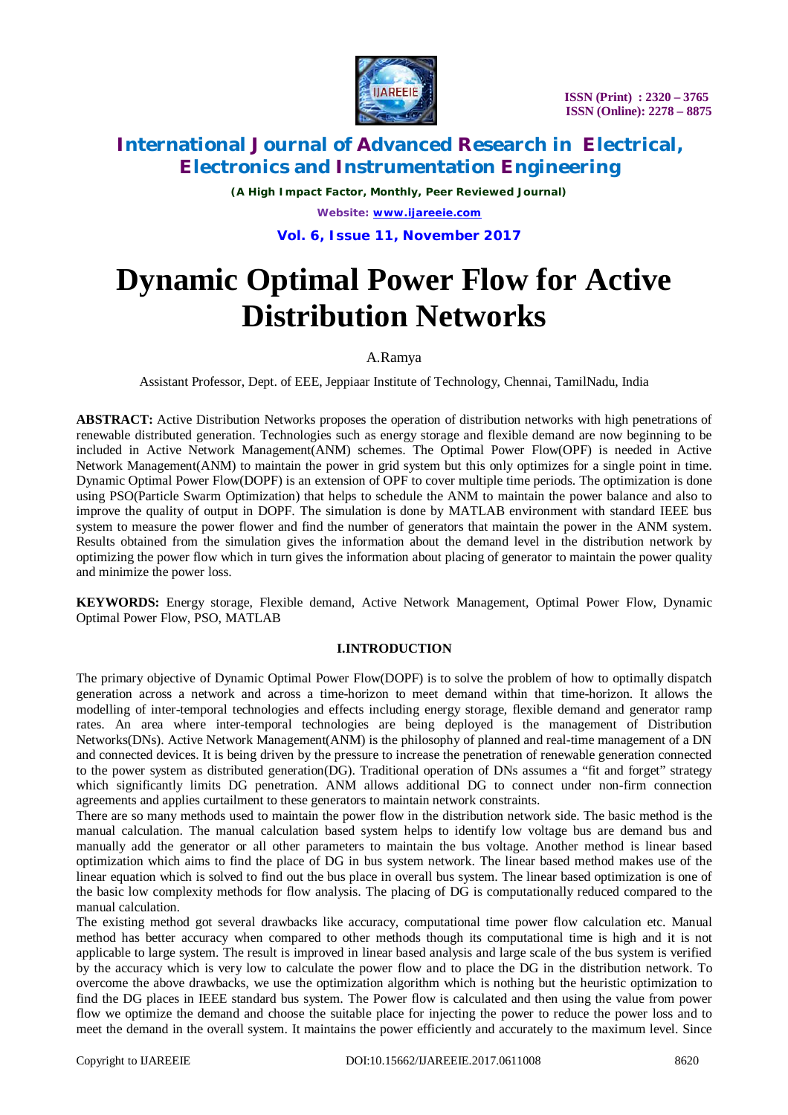

*(A High Impact Factor, Monthly, Peer Reviewed Journal) Website: [www.ijareeie.com](http://www.ijareeie.com)* **Vol. 6, Issue 11, November 2017**

# **Dynamic Optimal Power Flow for Active Distribution Networks**

### A.Ramya

Assistant Professor, Dept. of EEE, Jeppiaar Institute of Technology, Chennai, TamilNadu, India

**ABSTRACT:** Active Distribution Networks proposes the operation of distribution networks with high penetrations of renewable distributed generation. Technologies such as energy storage and flexible demand are now beginning to be included in Active Network Management(ANM) schemes. The Optimal Power Flow(OPF) is needed in Active Network Management(ANM) to maintain the power in grid system but this only optimizes for a single point in time. Dynamic Optimal Power Flow(DOPF) is an extension of OPF to cover multiple time periods. The optimization is done using PSO(Particle Swarm Optimization) that helps to schedule the ANM to maintain the power balance and also to improve the quality of output in DOPF. The simulation is done by MATLAB environment with standard IEEE bus system to measure the power flower and find the number of generators that maintain the power in the ANM system. Results obtained from the simulation gives the information about the demand level in the distribution network by optimizing the power flow which in turn gives the information about placing of generator to maintain the power quality and minimize the power loss.

**KEYWORDS:** Energy storage, Flexible demand, Active Network Management, Optimal Power Flow, Dynamic Optimal Power Flow, PSO, MATLAB

### **I.INTRODUCTION**

The primary objective of Dynamic Optimal Power Flow(DOPF) is to solve the problem of how to optimally dispatch generation across a network and across a time-horizon to meet demand within that time-horizon. It allows the modelling of inter-temporal technologies and effects including energy storage, flexible demand and generator ramp rates. An area where inter-temporal technologies are being deployed is the management of Distribution Networks(DNs). Active Network Management(ANM) is the philosophy of planned and real-time management of a DN and connected devices. It is being driven by the pressure to increase the penetration of renewable generation connected to the power system as distributed generation(DG). Traditional operation of DNs assumes a "fit and forget" strategy which significantly limits DG penetration. ANM allows additional DG to connect under non-firm connection agreements and applies curtailment to these generators to maintain network constraints.

There are so many methods used to maintain the power flow in the distribution network side. The basic method is the manual calculation. The manual calculation based system helps to identify low voltage bus are demand bus and manually add the generator or all other parameters to maintain the bus voltage. Another method is linear based optimization which aims to find the place of DG in bus system network. The linear based method makes use of the linear equation which is solved to find out the bus place in overall bus system. The linear based optimization is one of the basic low complexity methods for flow analysis. The placing of DG is computationally reduced compared to the manual calculation.

The existing method got several drawbacks like accuracy, computational time power flow calculation etc. Manual method has better accuracy when compared to other methods though its computational time is high and it is not applicable to large system. The result is improved in linear based analysis and large scale of the bus system is verified by the accuracy which is very low to calculate the power flow and to place the DG in the distribution network. To overcome the above drawbacks, we use the optimization algorithm which is nothing but the heuristic optimization to find the DG places in IEEE standard bus system. The Power flow is calculated and then using the value from power flow we optimize the demand and choose the suitable place for injecting the power to reduce the power loss and to meet the demand in the overall system. It maintains the power efficiently and accurately to the maximum level. Since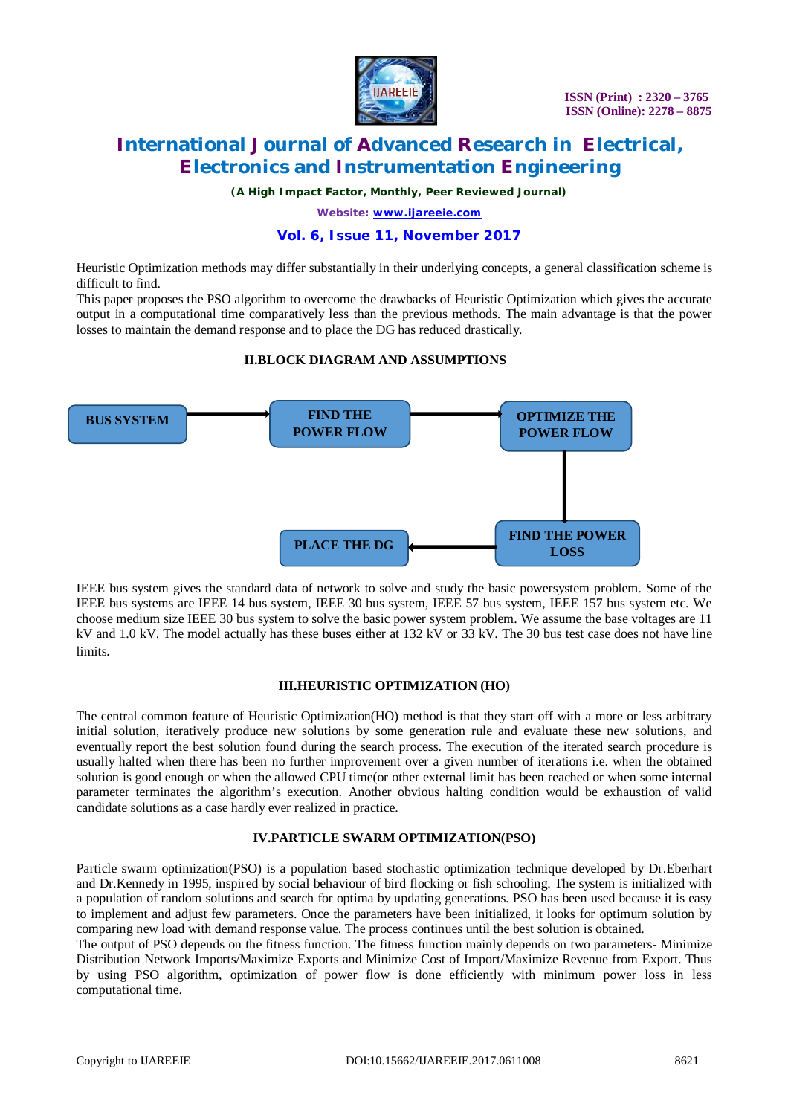

*(A High Impact Factor, Monthly, Peer Reviewed Journal)*

*Website: [www.ijareeie.com](http://www.ijareeie.com)*

### **Vol. 6, Issue 11, November 2017**

Heuristic Optimization methods may differ substantially in their underlying concepts, a general classification scheme is difficult to find.

This paper proposes the PSO algorithm to overcome the drawbacks of Heuristic Optimization which gives the accurate output in a computational time comparatively less than the previous methods. The main advantage is that the power losses to maintain the demand response and to place the DG has reduced drastically.

### **II.BLOCK DIAGRAM AND ASSUMPTIONS**



IEEE bus system gives the standard data of network to solve and study the basic powersystem problem. Some of the IEEE bus systems are IEEE 14 bus system, IEEE 30 bus system, IEEE 57 bus system, IEEE 157 bus system etc. We choose medium size IEEE 30 bus system to solve the basic power system problem. We assume the base voltages are 11 kV and 1.0 kV. The model actually has these buses either at 132 kV or 33 kV. The 30 bus test case does not have line limits.

### **III.HEURISTIC OPTIMIZATION (HO)**

The central common feature of Heuristic Optimization(HO) method is that they start off with a more or less arbitrary initial solution, iteratively produce new solutions by some generation rule and evaluate these new solutions, and eventually report the best solution found during the search process. The execution of the iterated search procedure is usually halted when there has been no further improvement over a given number of iterations i.e. when the obtained solution is good enough or when the allowed CPU time(or other external limit has been reached or when some internal parameter terminates the algorithm's execution. Another obvious halting condition would be exhaustion of valid candidate solutions as a case hardly ever realized in practice.

### **IV.PARTICLE SWARM OPTIMIZATION(PSO)**

Particle swarm optimization(PSO) is a population based stochastic optimization technique developed by Dr.Eberhart and Dr.Kennedy in 1995, inspired by social behaviour of bird flocking or fish schooling. The system is initialized with a population of random solutions and search for optima by updating generations. PSO has been used because it is easy to implement and adjust few parameters. Once the parameters have been initialized, it looks for optimum solution by comparing new load with demand response value. The process continues until the best solution is obtained.

The output of PSO depends on the fitness function. The fitness function mainly depends on two parameters- Minimize Distribution Network Imports/Maximize Exports and Minimize Cost of Import/Maximize Revenue from Export. Thus by using PSO algorithm, optimization of power flow is done efficiently with minimum power loss in less computational time.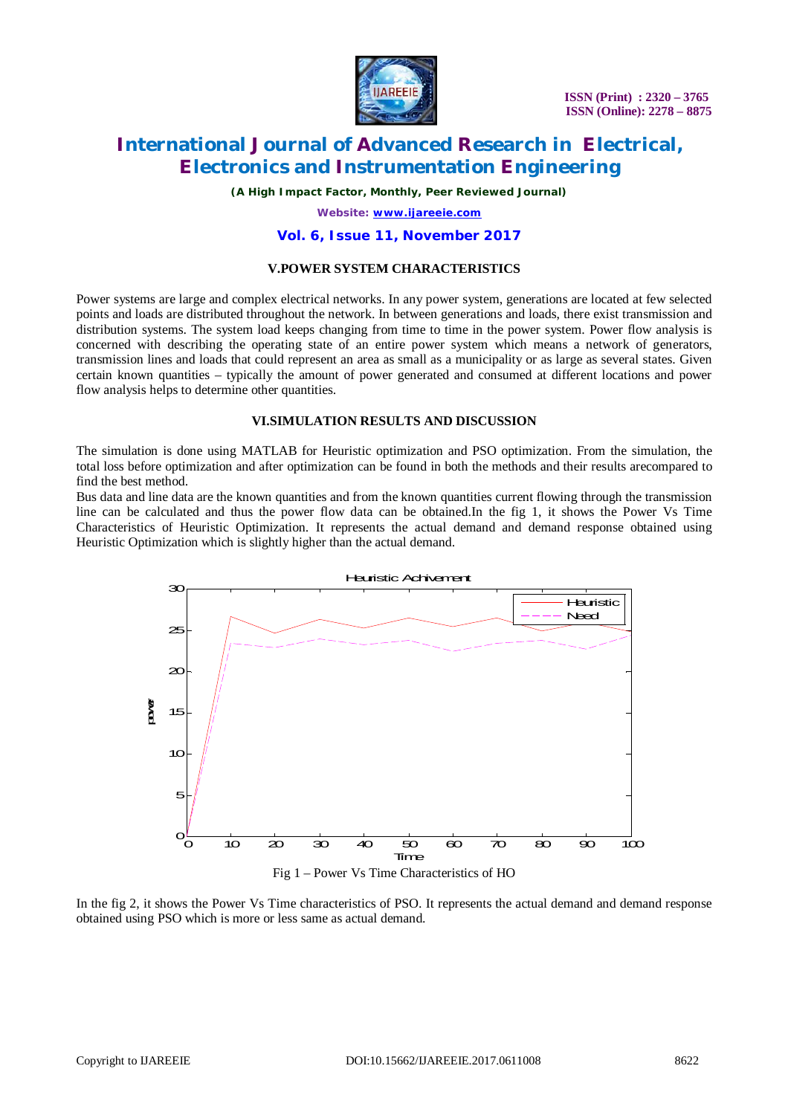

 **ISSN (Print) : 2320 – 3765 ISSN (Online): 2278 – 8875**

# **International Journal of Advanced Research in Electrical, Electronics and Instrumentation Engineering**

*(A High Impact Factor, Monthly, Peer Reviewed Journal)*

*Website: [www.ijareeie.com](http://www.ijareeie.com)*

#### **Vol. 6, Issue 11, November 2017**

### **V.POWER SYSTEM CHARACTERISTICS**

Power systems are large and complex electrical networks. In any power system, generations are located at few selected points and loads are distributed throughout the network. In between generations and loads, there exist transmission and distribution systems. The system load keeps changing from time to time in the power system. Power flow analysis is concerned with describing the operating state of an entire power system which means a network of generators, transmission lines and loads that could represent an area as small as a municipality or as large as several states. Given certain known quantities – typically the amount of power generated and consumed at different locations and power flow analysis helps to determine other quantities.

#### **VI.SIMULATION RESULTS AND DISCUSSION**

The simulation is done using MATLAB for Heuristic optimization and PSO optimization. From the simulation, the total loss before optimization and after optimization can be found in both the methods and their results arecompared to find the best method.

Bus data and line data are the known quantities and from the known quantities current flowing through the transmission line can be calculated and thus the power flow data can be obtained.In the fig 1, it shows the Power Vs Time Characteristics of Heuristic Optimization. It represents the actual demand and demand response obtained using Heuristic Optimization which is slightly higher than the actual demand.





In the fig 2, it shows the Power Vs Time characteristics of PSO. It represents the actual demand and demand response obtained using PSO which is more or less same as actual demand.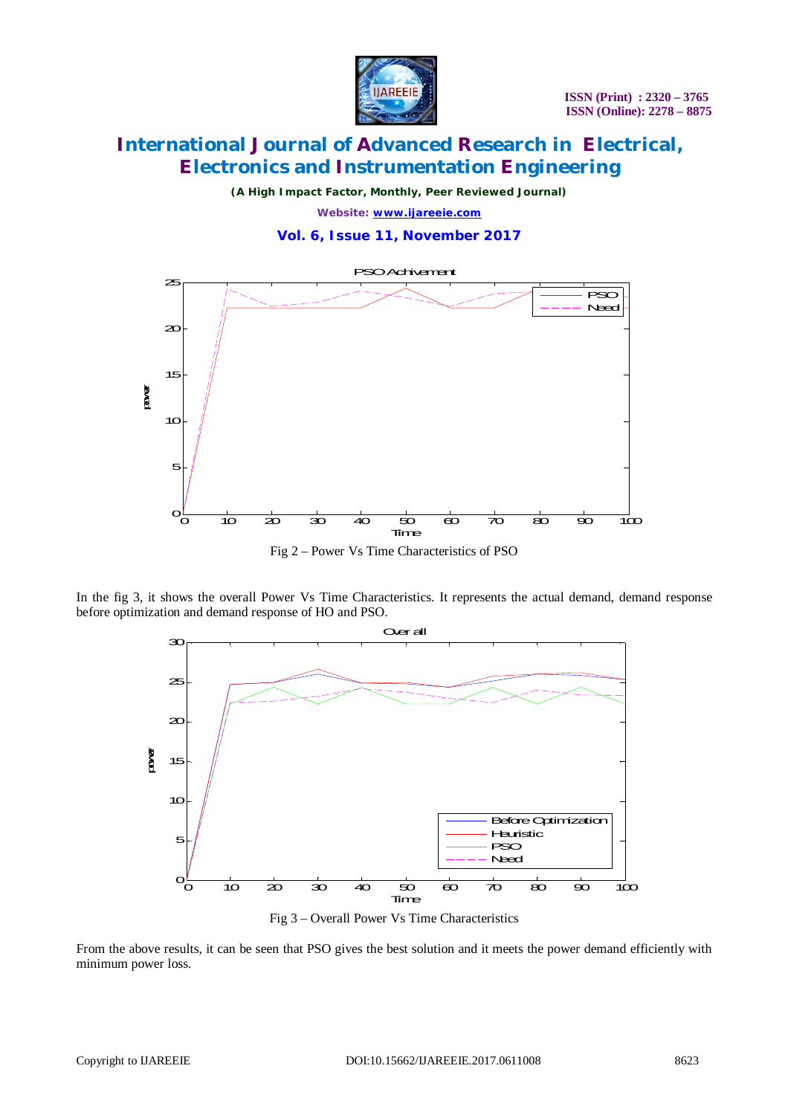

*(A High Impact Factor, Monthly, Peer Reviewed Journal) Website: [www.ijareeie.com](http://www.ijareeie.com)*

**Vol. 6, Issue 11, November 2017**



Fig 2 – Power Vs Time Characteristics of PSO

In the fig 3, it shows the overall Power Vs Time Characteristics. It represents the actual demand, demand response before optimization and demand response of HO and PSO.





From the above results, it can be seen that PSO gives the best solution and it meets the power demand efficiently with minimum power loss.